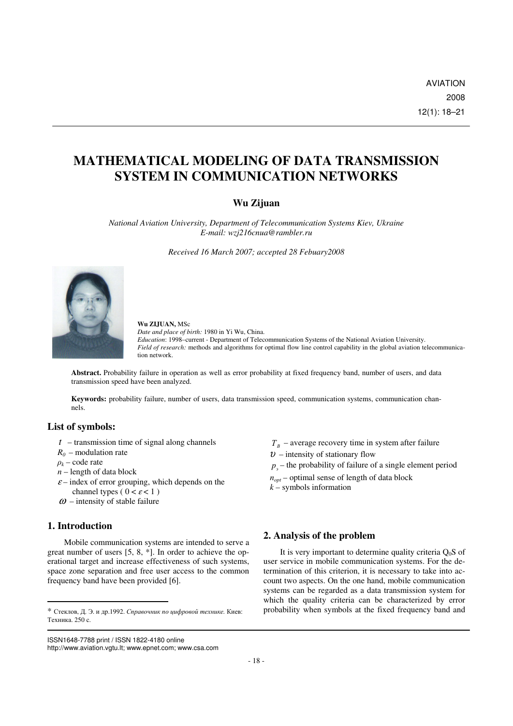# **MATHEMATICAL MODELING OF DATA TRANSMISSION SYSTEM IN COMMUNICATION NETWORKS**

## **Wu Zijuan**

*National Aviation University, Department of Telecommunication Systems Kiev, Ukraine E-mail: wzj216cnua@rambler.ru* 

*Received 16 March 2007; accepted 28 Febuary2008* 



### **Wu ZIJUAN,** MSc

*Date and place of birth:* 1980 in Yi Wu, China. *Education*: 1998–current - Department of Telecommunication Systems of the National Aviation University. *Field of research:* methods and algorithms for optimal flow line control capability in the global aviation telecommunication network.

**Abstract.** Probability failure in operation as well as error probability at fixed frequency band, number of users, and data transmission speed have been analyzed.

**Keywords:** probability failure, number of users, data transmission speed, communication systems, communication channels.

## **List of symbols:**

- *t* transmission time of signal along channels
- $R_0$  modulation rate
- $\rho_k$  code rate
- *n* length of data block
- $\varepsilon$  index of error grouping, which depends on the channel types ( $0 < \varepsilon < 1$ )
- $\omega$  intensity of stable failure

## **1. Introduction**

-

Mobile communication systems are intended to serve a great number of users [5, 8, \*]. In order to achieve the operational target and increase effectiveness of such systems, space zone separation and free user access to the common frequency band have been provided [6].

 $T_B$  – average recovery time in system after failure

- $v$  intensity of stationary flow
- $p_{\text{g}}$  the probability of failure of a single element period
- $n_{\text{opt}}$  optimal sense of length of data block
- $k$  symbols information

## **2. Analysis of the problem**

It is very important to determine quality criteria  $Q_0S$  of user service in mobile communication systems. For the determination of this criterion, it is necessary to take into account two aspects. On the one hand, mobile communication systems can be regarded as a data transmission system for which the quality criteria can be characterized by error probability when symbols at the fixed frequency band and

<sup>\*</sup> Стеклов, Д. Э. и др.1992. Справочник по цифровой технике*.* Киев: Техника. 250 с.

ISSN1648-7788 print / ISSN 1822-4180 online

http://www.aviation.vgtu.lt; www.epnet.com; www.csa.com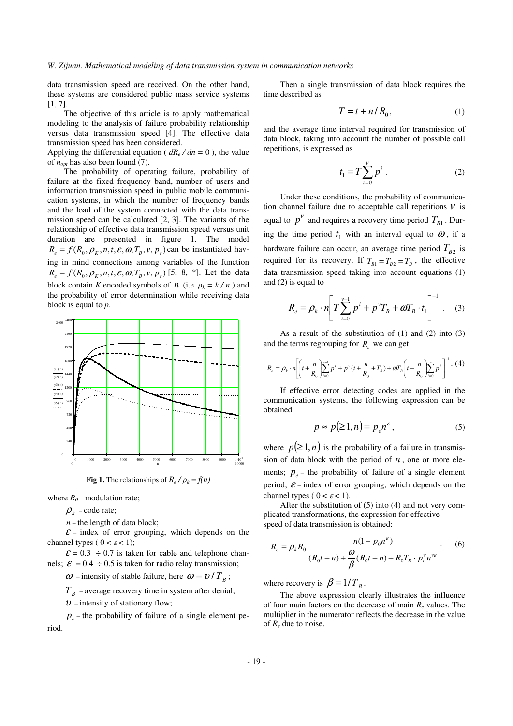data transmission speed are received. On the other hand, these systems are considered public mass service systems [1, 7].

The objective of this article is to apply mathematical modeling to the analysis of failure probability relationship versus data transmission speed [4]. The effective data transmission speed has been considered.

Applying the differential equation ( $dR_e/dn = 0$ ), the value of  $n_{opt}$  has also been found  $(7)$ .

The probability of operating failure, probability of failure at the fixed frequency band, number of users and information transmission speed in public mobile communication systems, in which the number of frequency bands and the load of the system connected with the data transmission speed can be calculated [2, 3]. The variants of the relationship of effective data transmission speed versus unit duration are presented in figure 1. The model  $R_e = f(R_0, \rho_K, n, t, \varepsilon, \omega, T_B, v, p_e)$  can be instantiated having in mind connections among variables of the function  $R_e = f(R_0, \rho_K, n, t, \varepsilon, \omega, T_B, v, p_e)$  [5, 8, \*]. Let the data block contain *K* encoded symbols of *n* (i.e.  $\rho_k = k/n$ ) and the probability of error determination while receiving data block is equal to *p*.



**Fig 1.** The relationships of  $R_e / \rho_k = f(n)$ 

where  $R_0$  – modulation rate;

 $\rho_k$  – code rate;

 $n$  – the length of data block;

 $\mathcal{E}$  – index of error grouping, which depends on the channel types (  $0 < \varepsilon < 1$ );

 $\mathcal{E} = 0.3 \div 0.7$  is taken for cable and telephone channels;  $\mathcal{E} = 0.4 \div 0.5$  is taken for radio relay transmission;

 $\omega$  – intensity of stable failure, here  $\omega = \nu / T_B$ ;

 $T_B$  – average recovery time in system after denial;

 $v$  – intensity of stationary flow;

 $p_e$  – the probability of failure of a single element period.

Then a single transmission of data block requires the time described as

$$
T = t + n/R_0, \tag{1}
$$

and the average time interval required for transmission of data block, taking into account the number of possible call repetitions, is expressed as

$$
t_1 = T \sum_{i=0}^{V} p^i .
$$
 (2)

Under these conditions, the probability of communication channel failure due to acceptable call repetitions  $V$  is equal to  $p^V$  and requires a recovery time period  $T_{B1}$ . During the time period  $t_1$  with an interval equal to  $\omega$ , if a hardware failure can occur, an average time period  $T_{B2}$  is required for its recovery. If  $T_{B1} = T_{B2} = T_B$ , the effective data transmission speed taking into account equations (1) and (2) is equal to

$$
R_e = \rho_k \cdot n \left[ T \sum_{i=0}^{v-1} p^i + p^v T_B + \omega T_B \cdot t_1 \right]^{-1} . \quad (3)
$$

As a result of the substitution of (1) and (2) into (3) and the terms regrouping for  $R_e$  we can get

$$
R_e = \rho_k \cdot n \left[ \left( t + \frac{n}{R_0} \right)_{i=0}^{\nu-1} p^i + p^v (t + \frac{n}{R_0} + T_B) + \omega T_B \left( t + \frac{n}{R_0} \right)_{i=0}^{\nu} p^i \right]^{-1} . (4)
$$

If effective error detecting codes are applied in the communication systems, the following expression can be obtained

$$
p \approx p(\ge 1, n) = p_e n^{\varepsilon}, \tag{5}
$$

where  $p(\geq 1, n)$  is the probability of a failure in transmission of data block with the period of  $n$ , one or more elements;  $p_e$  – the probability of failure of a single element period;  $\mathcal{E}$  – index of error grouping, which depends on the channel types (  $0 < \varepsilon < 1$ ).

After the substitution of (5) into (4) and not very complicated transformations, the expression for effective speed of data transmission is obtained:

$$
R_e = \rho_k R_0 \frac{n(1 - p_0 n^{\varepsilon})}{(R_0 t + n) + \frac{\omega}{\beta} (R_0 t + n) + R_0 T_B \cdot p_e^{\nu} n^{\nu \varepsilon}}.
$$
 (6)

where recovery is  $\beta = 1/T_B$ .

The above expression clearly illustrates the influence of four main factors on the decrease of main  $R_e$  values. The multiplier in the numerator reflects the decrease in the value of  $R_e$  due to noise.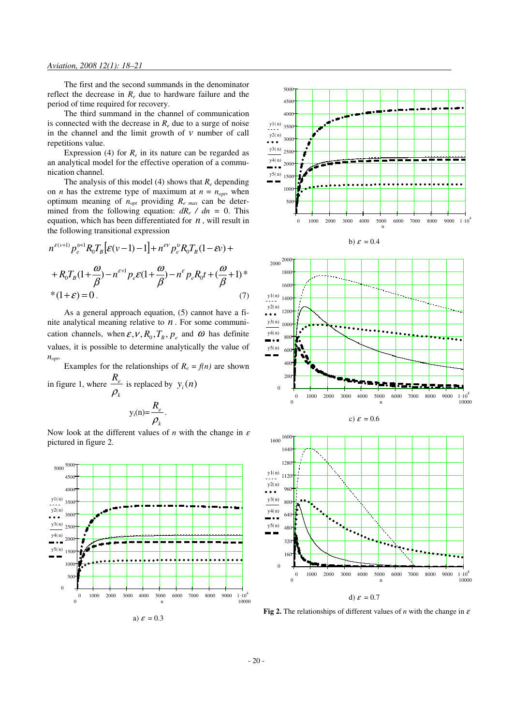The first and the second summands in the denominator reflect the decrease in  $R_e$  due to hardware failure and the period of time required for recovery.

The third summand in the channel of communication is connected with the decrease in  $R_e$  due to a surge of noise in the channel and the limit growth of  $\nu$  number of call repetitions value.

Expression (4) for  $R_e$  in its nature can be regarded as an analytical model for the effective operation of a communication channel.

The analysis of this model (4) shows that  $R_e$  depending on *n* has the extreme type of maximum at  $n = n_{opt}$ , when optimum meaning of *nopt* providing *Re max* can be determined from the following equation:  $dR_e / dn = 0$ . This equation, which has been differentiated for *n* , will result in the following transitional expression

$$
n^{\varepsilon(\nu+1)} p_e^{\nu+1} R_0 T_B \left[ \varepsilon(\nu-1) - 1 \right] + n^{\varepsilon \nu} p_e^{\nu} R_0 T_B (1 - \varepsilon \nu) +
$$
  
+ 
$$
R_0 T_B (1 + \frac{\omega}{\beta}) - n^{\varepsilon+1} p_e \varepsilon (1 + \frac{\omega}{\beta}) - n^{\varepsilon} p_e R_0 t + (\frac{\omega}{\beta} + 1)^*
$$
  
\* 
$$
(1 + \varepsilon) = 0.
$$
 (7)

As a general approach equation, (5) cannot have a finite analytical meaning relative to *n* . For some communication channels, when  $\varepsilon$ ,  $V$ ,  $R_0$ ,  $T_B$ ,  $p_e$  and  $\omega$  has definite values, it is possible to determine analytically the value of *nopt*.

Examples for the relationships of  $R_e = f(n)$  are shown in figure 1, where *k*  $R_e$  $\frac{R_e}{\rho_k}$  is replaced by  $y_i(n)$  $y_i(n)$ =  $R_e$ .





a)  $\varepsilon = 0.3$ 









**Fig 2.** The relationships of different values of *n* with the change in  $\varepsilon$